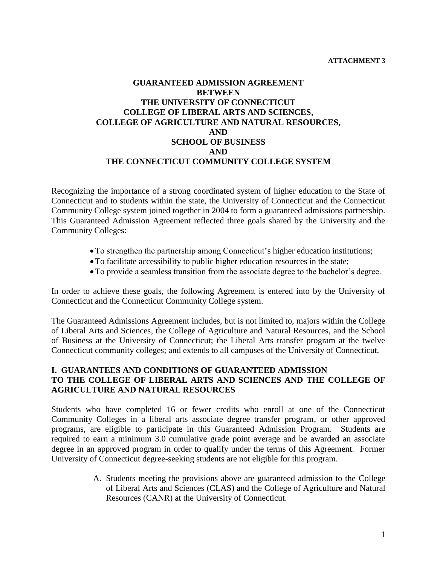#### **ATTACHMENT 3**

## **GUARANTEED ADMISSION AGREEMENT BETWEEN THE UNIVERSITY OF CONNECTICUT COLLEGE OF LIBERAL ARTS AND SCIENCES, COLLEGE OF AGRICULTURE AND NATURAL RESOURCES, AND SCHOOL OF BUSINESS AND THE CONNECTICUT COMMUNITY COLLEGE SYSTEM**

Recognizing the importance of a strong coordinated system of higher education to the State of Connecticut and to students within the state, the University of Connecticut and the Connecticut Community College system joined together in 2004 to form a guaranteed admissions partnership. This Guaranteed Admission Agreement reflected three goals shared by the University and the Community Colleges:

- To strengthen the partnership among Connecticut's higher education institutions;
- To facilitate accessibility to public higher education resources in the state;
- To provide a seamless transition from the associate degree to the bachelor's degree.

In order to achieve these goals, the following Agreement is entered into by the University of Connecticut and the Connecticut Community College system.

The Guaranteed Admissions Agreement includes, but is not limited to, majors within the College of Liberal Arts and Sciences, the College of Agriculture and Natural Resources, and the School of Business at the University of Connecticut; the Liberal Arts transfer program at the twelve Connecticut community colleges; and extends to all campuses of the University of Connecticut.

## **I. GUARANTEES AND CONDITIONS OF GUARANTEED ADMISSION TO THE COLLEGE OF LIBERAL ARTS AND SCIENCES AND THE COLLEGE OF AGRICULTURE AND NATURAL RESOURCES**

Students who have completed 16 or fewer credits who enroll at one of the Connecticut Community Colleges in a liberal arts associate degree transfer program, or other approved programs, are eligible to participate in this Guaranteed Admission Program. Students are required to earn a minimum 3.0 cumulative grade point average and be awarded an associate degree in an approved program in order to qualify under the terms of this Agreement. Former University of Connecticut degree-seeking students are not eligible for this program.

> A. Students meeting the provisions above are guaranteed admission to the College of Liberal Arts and Sciences (CLAS) and the College of Agriculture and Natural Resources (CANR) at the University of Connecticut.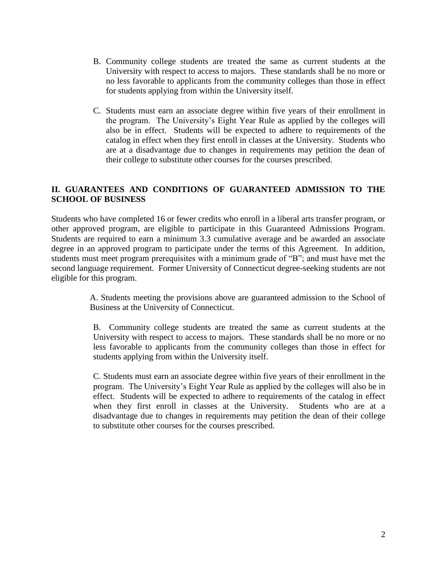- B. Community college students are treated the same as current students at the University with respect to access to majors. These standards shall be no more or no less favorable to applicants from the community colleges than those in effect for students applying from within the University itself.
- C. Students must earn an associate degree within five years of their enrollment in the program. The University's Eight Year Rule as applied by the colleges will also be in effect. Students will be expected to adhere to requirements of the catalog in effect when they first enroll in classes at the University. Students who are at a disadvantage due to changes in requirements may petition the dean of their college to substitute other courses for the courses prescribed.

## **II. GUARANTEES AND CONDITIONS OF GUARANTEED ADMISSION TO THE SCHOOL OF BUSINESS**

Students who have completed 16 or fewer credits who enroll in a liberal arts transfer program, or other approved program, are eligible to participate in this Guaranteed Admissions Program. Students are required to earn a minimum 3.3 cumulative average and be awarded an associate degree in an approved program to participate under the terms of this Agreement. In addition, students must meet program prerequisites with a minimum grade of "B"; and must have met the second language requirement. Former University of Connecticut degree-seeking students are not eligible for this program.

> A. Students meeting the provisions above are guaranteed admission to the School of Business at the University of Connecticut.

> B. Community college students are treated the same as current students at the University with respect to access to majors. These standards shall be no more or no less favorable to applicants from the community colleges than those in effect for students applying from within the University itself.

> C. Students must earn an associate degree within five years of their enrollment in the program. The University's Eight Year Rule as applied by the colleges will also be in effect. Students will be expected to adhere to requirements of the catalog in effect when they first enroll in classes at the University. Students who are at a disadvantage due to changes in requirements may petition the dean of their college to substitute other courses for the courses prescribed.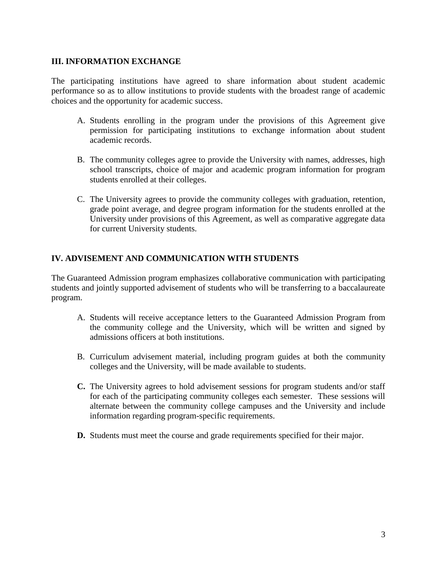#### **III. INFORMATION EXCHANGE**

The participating institutions have agreed to share information about student academic performance so as to allow institutions to provide students with the broadest range of academic choices and the opportunity for academic success.

- A. Students enrolling in the program under the provisions of this Agreement give permission for participating institutions to exchange information about student academic records.
- B. The community colleges agree to provide the University with names, addresses, high school transcripts, choice of major and academic program information for program students enrolled at their colleges.
- C. The University agrees to provide the community colleges with graduation, retention, grade point average, and degree program information for the students enrolled at the University under provisions of this Agreement, as well as comparative aggregate data for current University students.

# **IV. ADVISEMENT AND COMMUNICATION WITH STUDENTS**

The Guaranteed Admission program emphasizes collaborative communication with participating students and jointly supported advisement of students who will be transferring to a baccalaureate program.

- A. Students will receive acceptance letters to the Guaranteed Admission Program from the community college and the University, which will be written and signed by admissions officers at both institutions.
- B. Curriculum advisement material, including program guides at both the community colleges and the University, will be made available to students.
- **C.** The University agrees to hold advisement sessions for program students and/or staff for each of the participating community colleges each semester. These sessions will alternate between the community college campuses and the University and include information regarding program-specific requirements.
- **D.** Students must meet the course and grade requirements specified for their major.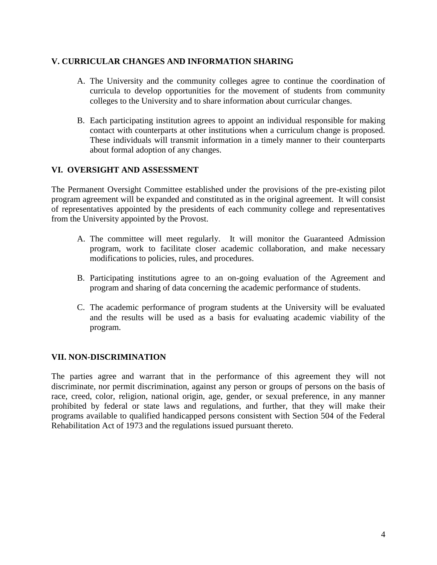#### **V. CURRICULAR CHANGES AND INFORMATION SHARING**

- A. The University and the community colleges agree to continue the coordination of curricula to develop opportunities for the movement of students from community colleges to the University and to share information about curricular changes.
- B. Each participating institution agrees to appoint an individual responsible for making contact with counterparts at other institutions when a curriculum change is proposed. These individuals will transmit information in a timely manner to their counterparts about formal adoption of any changes.

#### **VI. OVERSIGHT AND ASSESSMENT**

The Permanent Oversight Committee established under the provisions of the pre-existing pilot program agreement will be expanded and constituted as in the original agreement. It will consist of representatives appointed by the presidents of each community college and representatives from the University appointed by the Provost.

- A. The committee will meet regularly. It will monitor the Guaranteed Admission program, work to facilitate closer academic collaboration, and make necessary modifications to policies, rules, and procedures.
- B. Participating institutions agree to an on-going evaluation of the Agreement and program and sharing of data concerning the academic performance of students.
- C. The academic performance of program students at the University will be evaluated and the results will be used as a basis for evaluating academic viability of the program.

## **VII. NON-DISCRIMINATION**

The parties agree and warrant that in the performance of this agreement they will not discriminate, nor permit discrimination, against any person or groups of persons on the basis of race, creed, color, religion, national origin, age, gender, or sexual preference, in any manner prohibited by federal or state laws and regulations, and further, that they will make their programs available to qualified handicapped persons consistent with Section 504 of the Federal Rehabilitation Act of 1973 and the regulations issued pursuant thereto.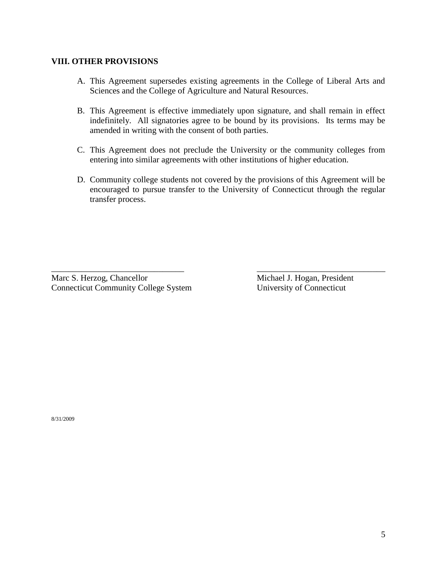#### **VIII. OTHER PROVISIONS**

- A. This Agreement supersedes existing agreements in the College of Liberal Arts and Sciences and the College of Agriculture and Natural Resources.
- B. This Agreement is effective immediately upon signature, and shall remain in effect indefinitely. All signatories agree to be bound by its provisions. Its terms may be amended in writing with the consent of both parties.
- C. This Agreement does not preclude the University or the community colleges from entering into similar agreements with other institutions of higher education.
- D. Community college students not covered by the provisions of this Agreement will be encouraged to pursue transfer to the University of Connecticut through the regular transfer process.

\_\_\_\_\_\_\_\_\_\_\_\_\_\_\_\_\_\_\_\_\_\_\_\_\_\_\_\_\_\_\_ \_\_\_\_\_\_\_\_\_\_\_\_\_\_\_\_\_\_\_\_\_\_\_\_\_\_\_\_\_\_

Marc S. Herzog, Chancellor Michael J. Hogan, President Connecticut Community College System University of Connecticut

8/31/2009